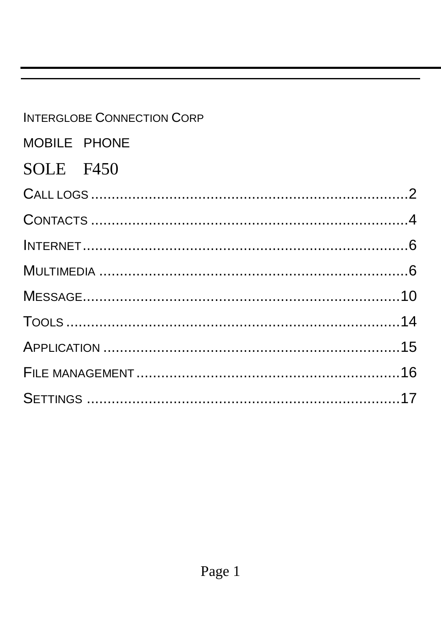## **INTERGLOBE CONNECTION CORP**

### MOBILE PHONE

### SOLE F450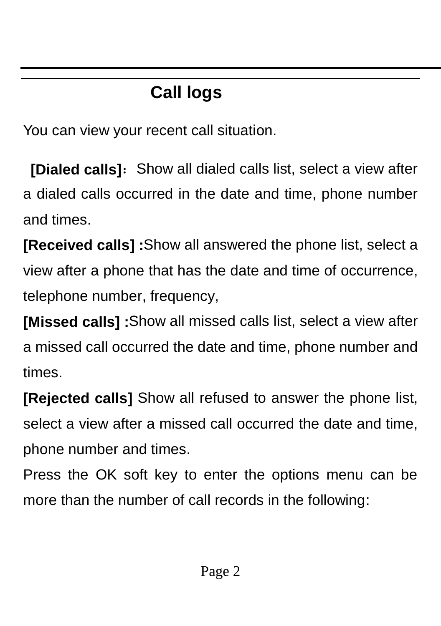# **Call logs**

<span id="page-1-0"></span>You can view your recent call situation.

**[Dialed calls]:** Show all dialed calls list, select a view after a dialed calls occurred in the date and time, phone number and times.

**[Received calls] :**Show all answered the phone list, select a view after a phone that has the date and time of occurrence, telephone number, frequency,

**[Missed calls] :**Show all missed calls list, select a view after a missed call occurred the date and time, phone number and times.

**[Rejected calls]** Show all refused to answer the phone list, select a view after a missed call occurred the date and time, phone number and times.

Press the OK soft key to enter the options menu can be more than the number of call records in the following: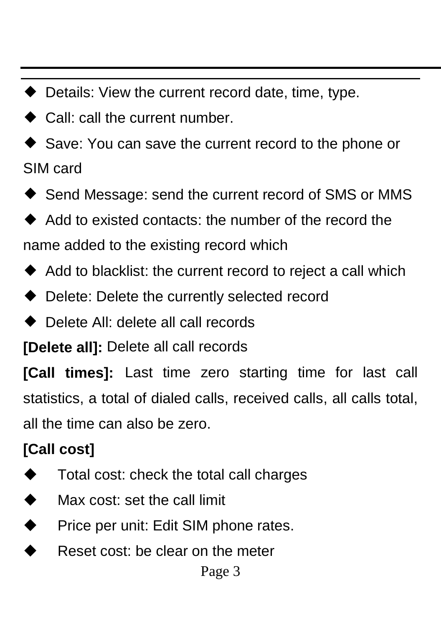- ◆ Details: View the current record date, time, type.
- ◆ Call: call the current number.
- ◆ Save: You can save the current record to the phone or SIM card
- ◆ Send Message: send the current record of SMS or MMS
- ◆ Add to existed contacts: the number of the record the name added to the existing record which
- ◆ Add to blacklist: the current record to reject a call which
- ◆ Delete: Delete the currently selected record
- ◆ Delete All: delete all call records

**[Delete all]:** Delete all call records

**[Call times]:** Last time zero starting time for last call statistics, a total of dialed calls, received calls, all calls total, all the time can also be zero.

#### **[Call cost]**

- ◆ Total cost: check the total call charges
- ◆ Max cost: set the call limit
- ◆ Price per unit: Edit SIM phone rates.
- Reset cost: be clear on the meter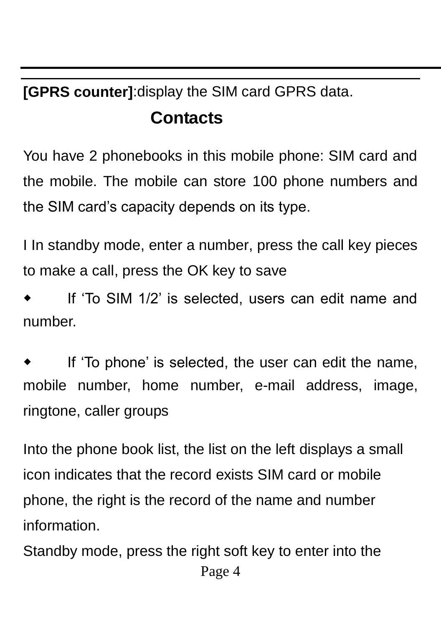<span id="page-3-0"></span>**[GPRS counter]**:display the SIM card GPRS data.

#### **Contacts**

You have 2 phonebooks in this mobile phone: SIM card and the mobile. The mobile can store 100 phone numbers and the SIM card's capacity depends on its type.

I In standby mode, enter a number, press the call key pieces to make a call, press the OK key to save

If 'To SIM 1/2' is selected, users can edit name and number.

If 'To phone' is selected, the user can edit the name, mobile number, home number, e-mail address, image, ringtone, caller groups

Into the phone book list, the list on the left displays a small icon indicates that the record exists SIM card or mobile phone, the right is the record of the name and number information.

Page 4 Standby mode, press the right soft key to enter into the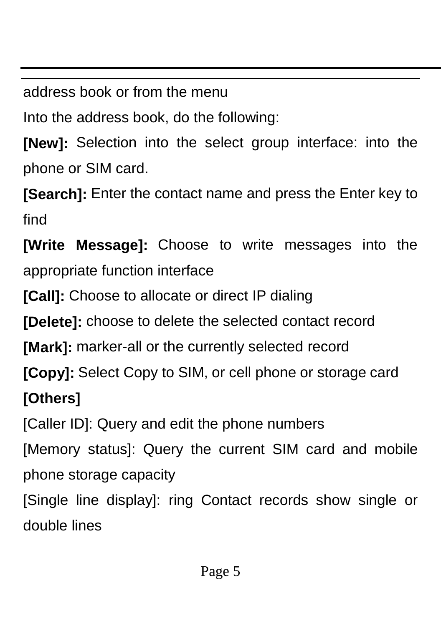address book or from the menu

Into the address book, do the following:

**[New]:** Selection into the select group interface: into the phone or SIM card.

**[Search]:** Enter the contact name and press the Enter key to find

**[Write Message]:** Choose to write messages into the appropriate function interface

**[Call]:** Choose to allocate or direct IP dialing

**[Delete]:** choose to delete the selected contact record

**[Mark]:** marker-all or the currently selected record

**[Copy]:** Select Copy to SIM, or cell phone or storage card

### **[Others]**

[Caller ID]: Query and edit the phone numbers

[Memory status]: Query the current SIM card and mobile phone storage capacity

[Single line display]: ring Contact records show single or double lines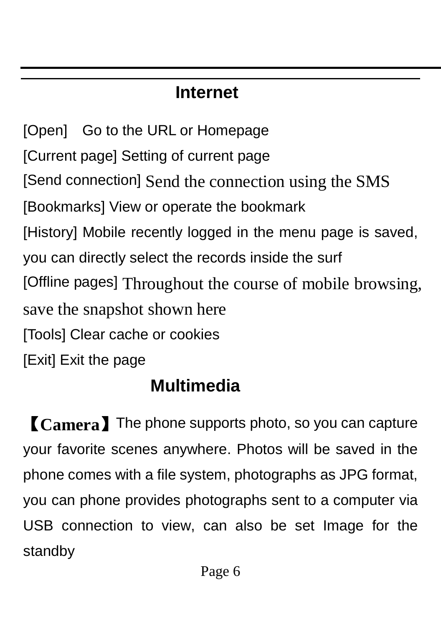# **Internet**

<span id="page-5-0"></span>[Open] Go to the URL or Homepage [Current page] Setting of current page [Send connection] Send the connection using the SMS [Bookmarks] View or operate the bookmark [History] Mobile recently logged in the menu page is saved, you can directly select the records inside the surf [Offline pages] Throughout the course of mobile browsing, save the snapshot shown here [Tools] Clear cache or cookies [Exit] Exit the page

# **Multimedia**

<span id="page-5-1"></span>【**Camera**】The phone supports photo, so you can capture your favorite scenes anywhere. Photos will be saved in the phone comes with a file system, photographs as JPG format, you can phone provides photographs sent to a computer via USB connection to view, can also be set Image for the standby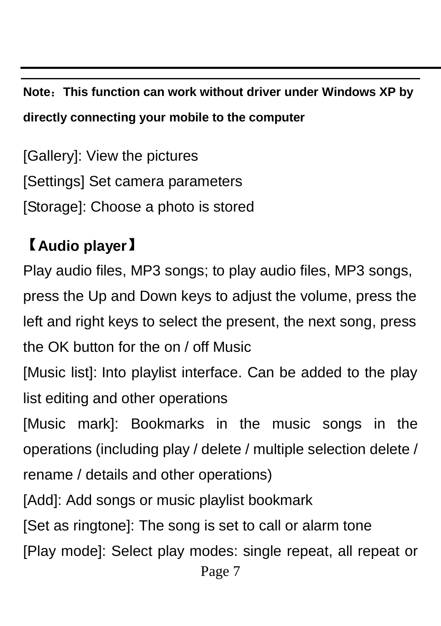**Note**:**This function can work without driver under Windows XP by directly connecting your mobile to the computer**

[Gallery]: View the pictures [Settings] Set camera parameters [Storage]: Choose a photo is stored

# 【**Audio player**】

Play audio files, MP3 songs; to play audio files, MP3 songs, press the Up and Down keys to adjust the volume, press the left and right keys to select the present, the next song, press the OK button for the on / off Music [Music list]: Into playlist interface. Can be added to the play list editing and other operations [Music mark]: Bookmarks in the music songs in the operations (including play / delete / multiple selection delete / rename / details and other operations) [Add]: Add songs or music playlist bookmark [Set as ringtone]: The song is set to call or alarm tone [Play mode]: Select play modes: single repeat, all repeat or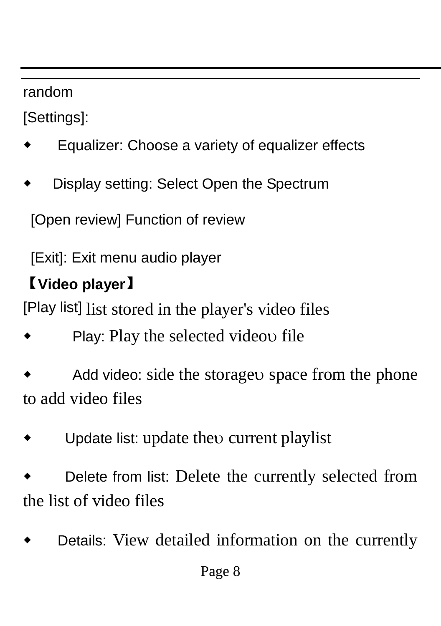random

[Settings]:

- Equalizer: Choose a variety of equalizer effects
- Display setting: Select Open the Spectrum

[Open review] Function of review

[Exit]: Exit menu audio player

## 【**Video player**】

[Play list] list stored in the player's video files

Play: Play the selected videou file

Add video: side the storage space from the phone to add video files

Update list: update the current playlist

Delete from list: Delete the currently selected from the list of video files

Details: View detailed information on the currently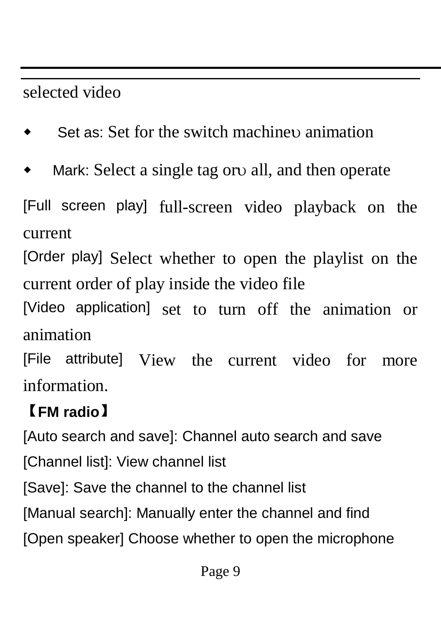## selected video

- Set as: Set for the switch machine animation
- Mark: Select a single tag or all, and then operate

[Full screen play] full-screen video playback on the current

[Order play] Select whether to open the playlist on the current order of play inside the video file

[Video application] set to turn off the animation or animation

[File attribute] View the current video for more information.

# 【**FM radio**】

[Auto search and save]: Channel auto search and save [Channel list]: View channel list [Save]: Save the channel to the channel list [Manual search]: Manually enter the channel and find [Open speaker] Choose whether to open the microphone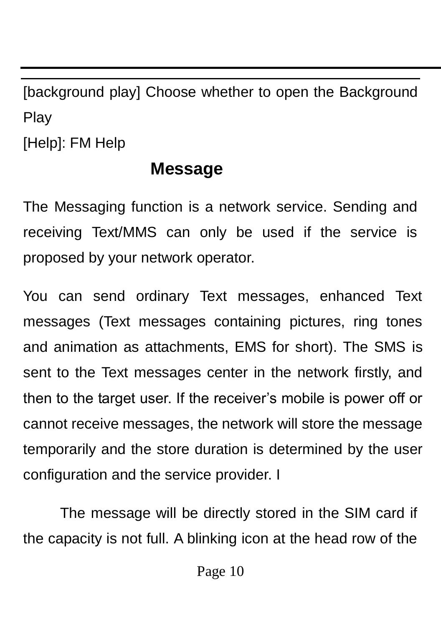[background play] Choose whether to open the Background Play

<span id="page-9-0"></span>[Help]: FM Help

#### **Message**

The Messaging function is a network service. Sending and receiving Text/MMS can only be used if the service is proposed by your network operator.

You can send ordinary Text messages, enhanced Text messages (Text messages containing pictures, ring tones and animation as attachments, EMS for short). The SMS is sent to the Text messages center in the network firstly, and then to the target user. If the receiver's mobile is power off or cannot receive messages, the network will store the message temporarily and the store duration is determined by the user configuration and the service provider. I

The message will be directly stored in the SIM card if the capacity is not full. A blinking icon at the head row of the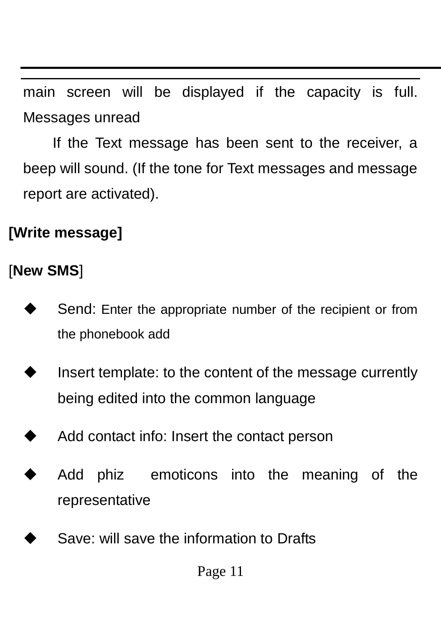main screen will be displayed if the capacity is full. Messages unread

If the Text message has been sent to the receiver, a beep will sound. (If the tone for Text messages and message report are activated).

### **[Write message]**

#### [**New SMS**]

- Send: Enter the appropriate number of the recipient or from the phonebook add
- Insert template: to the content of the message currently being edited into the common language
- Add contact info: Insert the contact person
- Add phiz emoticons into the meaning of the representative
- Save: will save the information to Drafts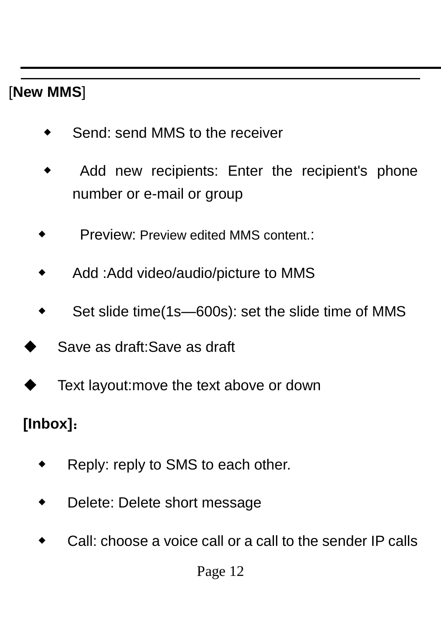#### [**New MMS**]

- Send: send MMS to the receiver
- Add new recipients: Enter the recipient's phone number or e-mail or group
- **Preview: Preview edited MMS content.:**
- Add :Add video/audio/picture to MMS
- Set slide time(1s-600s): set the slide time of MMS
- Save as draft:Save as draft
- Text layout:move the text above or down

### **[Inbox]**:

- Reply: reply to SMS to each other.
- Delete: Delete short message
- Call: choose a voice call or a call to the sender IP calls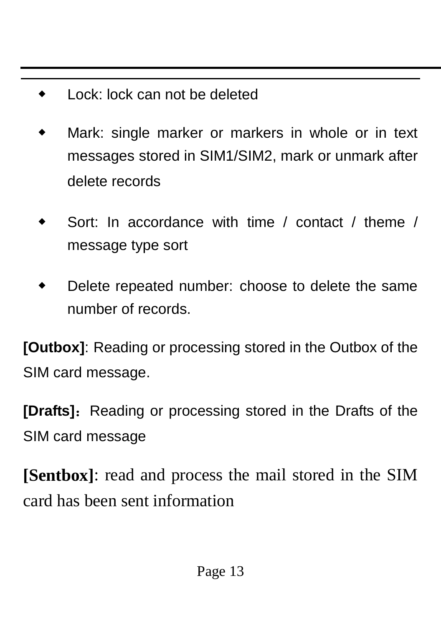- Lock: lock can not be deleted
- Mark: single marker or markers in whole or in text messages stored in SIM1/SIM2, mark or unmark after delete records
- Sort: In accordance with time / contact / theme / message type sort
- Delete repeated number: choose to delete the same number of records.

**[Outbox]**: Reading or processing stored in the Outbox of the SIM card message.

**[Drafts]:** Reading or processing stored in the Drafts of the SIM card message

**[Sentbox]**: read and process the mail stored in the SIM card has been sent information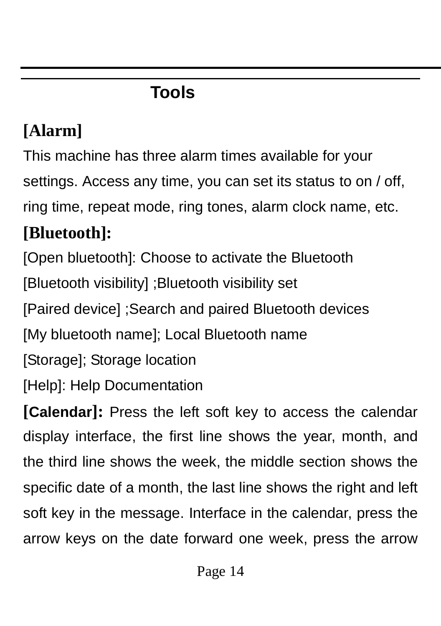# **Tools**

# <span id="page-13-0"></span>**[Alarm]**

This machine has three alarm times available for your settings. Access any time, you can set its status to on / off, ring time, repeat mode, ring tones, alarm clock name, etc.

# **[Bluetooth]:**

[Open bluetooth]: Choose to activate the Bluetooth [Bluetooth visibility] ;Bluetooth visibility set [Paired device] ;Search and paired Bluetooth devices

[My bluetooth name]; Local Bluetooth name

[Storage]; Storage location

[Help]: Help Documentation

**[Calendar]:** Press the left soft key to access the calendar display interface, the first line shows the year, month, and the third line shows the week, the middle section shows the specific date of a month, the last line shows the right and left soft key in the message. Interface in the calendar, press the arrow keys on the date forward one week, press the arrow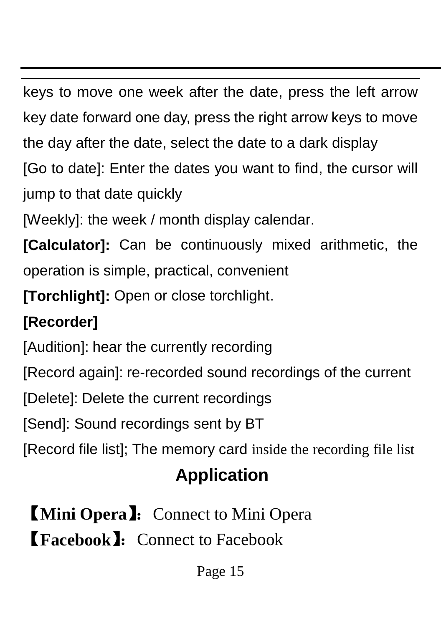keys to move one week after the date, press the left arrow key date forward one day, press the right arrow keys to move the day after the date, select the date to a dark display

[Go to date]: Enter the dates you want to find, the cursor will jump to that date quickly

[Weekly]: the week / month display calendar.

**[Calculator]:** Can be continuously mixed arithmetic, the operation is simple, practical, convenient

**[Torchlight]:** Open or close torchlight.

# **[Recorder]**

[Audition]: hear the currently recording

[Record again]: re-recorded sound recordings of the current

[Delete]: Delete the current recordings

[Send]: Sound recordings sent by BT

<span id="page-14-0"></span>[Record file list]; The memory card inside the recording file list

# **Application**

**【Mini Opera】:** Connect to Mini Opera **【Facebook】:** Connect to Facebook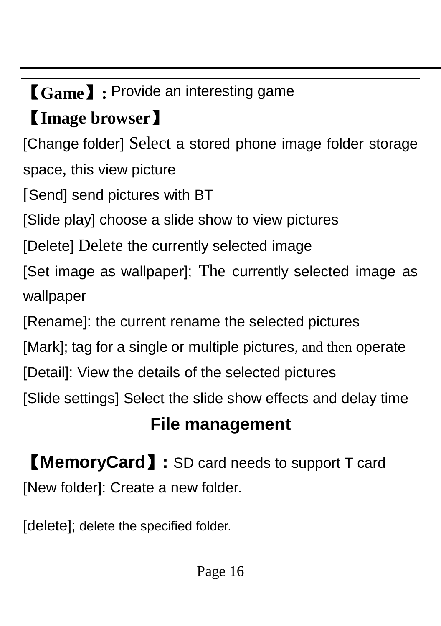# 【**Game**】**:** Provide an interesting game

# 【**Image browser**】

[Change folder] Select a stored phone image folder storage space, this view picture

[Send] send pictures with BT

[Slide play] choose a slide show to view pictures

[Delete] Delete the currently selected image

[Set image as wallpaper]; The currently selected image as wallpaper

[Rename]: the current rename the selected pictures

[Mark]; tag for a single or multiple pictures, and then operate

[Detail]: View the details of the selected pictures

<span id="page-15-0"></span>[Slide settings] Select the slide show effects and delay time

# **File management**

【**MemoryCard**】**:** SD card needs to support T card [New folder]: Create a new folder.

[delete]; delete the specified folder.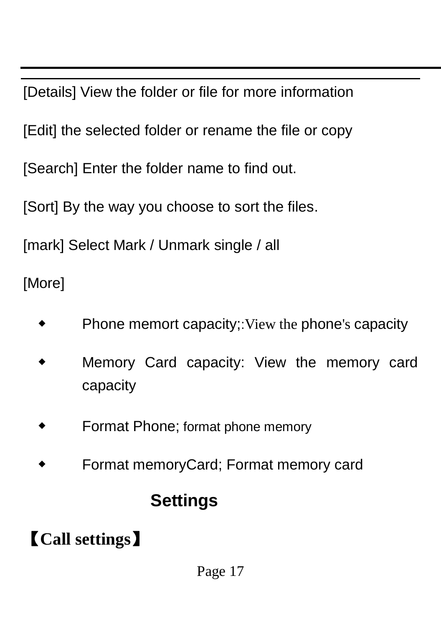[Details] View the folder or file for more information

[Edit] the selected folder or rename the file or copy

[Search] Enter the folder name to find out.

[Sort] By the way you choose to sort the files.

[mark] Select Mark / Unmark single / all

[More]

- Phone memort capacity;:View the phone's capacity
- Memory Card capacity: View the memory card capacity
- Format Phone; format phone memory
- <span id="page-16-0"></span>Format memoryCard; Format memory card

## **Settings**

# 【**Call settings**】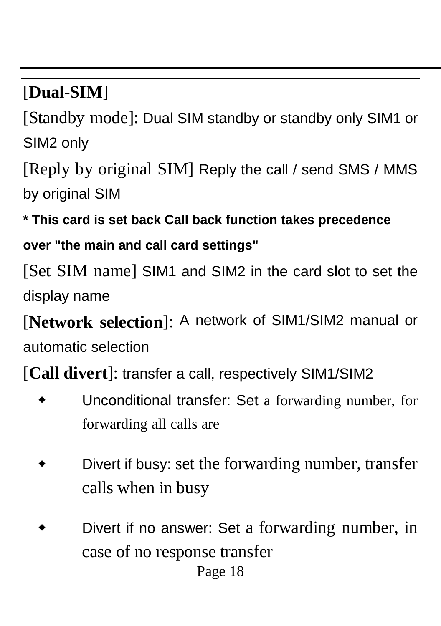## [**Dual-SIM**]

[Standby mode]: Dual SIM standby or standby only SIM1 or SIM2 only

[Reply by original SIM] Reply the call / send SMS / MMS by original SIM

**\* This card is set back Call back function takes precedence over "the main and call card settings"**

[Set SIM name] SIM1 and SIM2 in the card slot to set the display name

[**Network selection**]: A network of SIM1/SIM2 manual or automatic selection

[**Call divert**]: transfer a call, respectively SIM1/SIM2

- Unconditional transfer: Set a forwarding number, for forwarding all calls are
- Divert if busy: set the forwarding number, transfer calls when in busy
- Page 18 Divert if no answer: Set a forwarding number, in case of no response transfer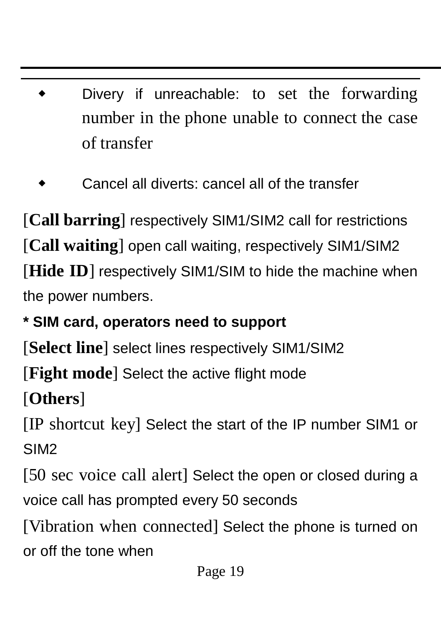- Divery if unreachable: to set the forwarding number in the phone unable to connect the case of transfer
- Cancel all diverts: cancel all of the transfer

[Call barring] respectively SIM1/SIM2 call for restrictions [**Call waiting**] open call waiting, respectively SIM1/SIM2 [Hide ID] respectively SIM1/SIM to hide the machine when the power numbers.

### **\* SIM card, operators need to support**

[**Select line**] select lines respectively SIM1/SIM2

[**Fight mode**] Select the active flight mode

[**Others**]

[IP shortcut key] Select the start of the IP number SIM1 or SIM2

[50 sec voice call alert] Select the open or closed during a voice call has prompted every 50 seconds

[Vibration when connected] Select the phone is turned on or off the tone when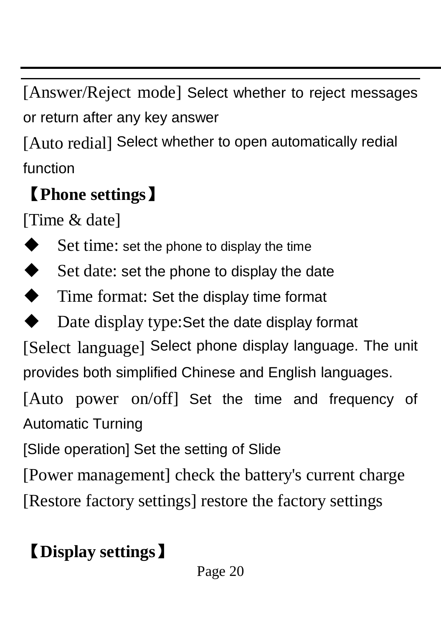[Answer/Reject mode] Select whether to reject messages or return after any key answer

[Auto redial] Select whether to open automatically redial function

# 【**Phone settings**】

[Time & date]

- Set time: set the phone to display the time
- $\blacklozenge$  Set date: set the phone to display the date
- Time format: Set the display time format
- Date display type:Set the date display format

[Select language] Select phone display language. The unit provides both simplified Chinese and English languages.

[Auto power on/off] Set the time and frequency of Automatic Turning

[Slide operation] Set the setting of Slide

[Power management] check the battery's current charge

[Restore factory settings] restore the factory settings

# 【**Display settings**】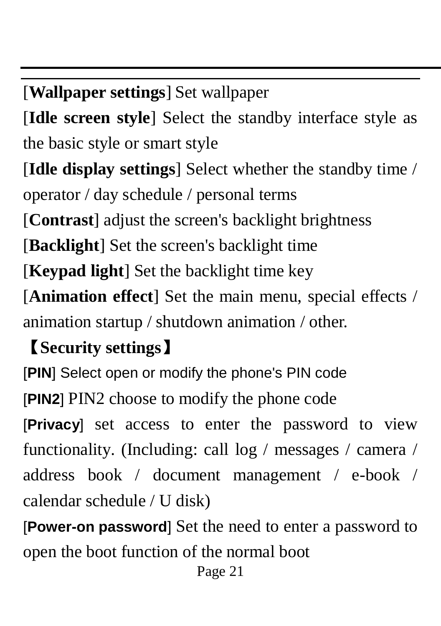[**Wallpaper settings**] Set wallpaper

[**Idle screen style**] Select the standby interface style as the basic style or smart style

[**Idle display settings**] Select whether the standby time /

operator / day schedule / personal terms

[**Contrast**] adjust the screen's backlight brightness

[**Backlight**] Set the screen's backlight time

[**Keypad light**] Set the backlight time key

[**Animation effect**] Set the main menu, special effects / animation startup / shutdown animation / other.

## 【**Security settings**】

[**PIN**] Select open or modify the phone's PIN code [**PIN2**] PIN2 choose to modify the phone code [**Privacy**] set access to enter the password to view functionality. (Including: call log / messages / camera / address book / document management / e-book / calendar schedule / U disk)

[**Power-on password**] Set the need to enter a password to open the boot function of the normal boot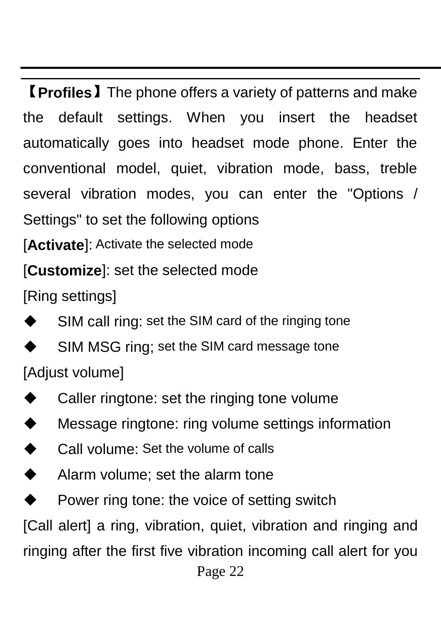【**Profiles**】The phone offers a variety of patterns and make the default settings. When you insert the headset automatically goes into headset mode phone. Enter the conventional model, quiet, vibration mode, bass, treble several vibration modes, you can enter the "Options / Settings" to set the following options

[Activate]: Activate the selected mode

### [**Customize**]: set the selected mode

[Ring settings]

- SIM call ring: set the SIM card of the ringing tone
- SIM MSG ring; set the SIM card message tone
- [Adjust volume]
- ◆ Caller ringtone: set the ringing tone volume
- Message ringtone: ring volume settings information
- **←** Call volume: Set the volume of calls
- ◆ Alarm volume; set the alarm tone
- $\blacklozenge$  Power ring tone: the voice of setting switch

[Call alert] a ring, vibration, quiet, vibration and ringing and

ringing after the first five vibration incoming call alert for you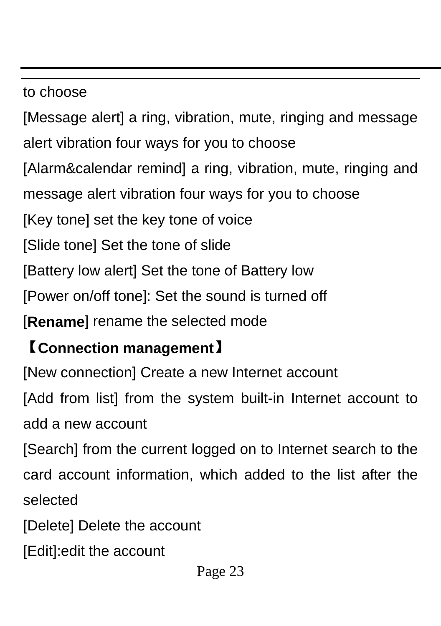#### to choose

[Message alert] a ring, vibration, mute, ringing and message alert vibration four ways for you to choose [Alarm&calendar remind] a ring, vibration, mute, ringing and message alert vibration four ways for you to choose [Key tone] set the key tone of voice [Slide tone] Set the tone of slide [Battery low alert] Set the tone of Battery low [Power on/off tone]: Set the sound is turned off [**Rename**] rename the selected mode

## 【**Connection management**】

[New connection] Create a new Internet account

[Add from list] from the system built-in Internet account to add a new account

[Search] from the current logged on to Internet search to the card account information, which added to the list after the selected

[Delete] Delete the account

[Edit]:edit the account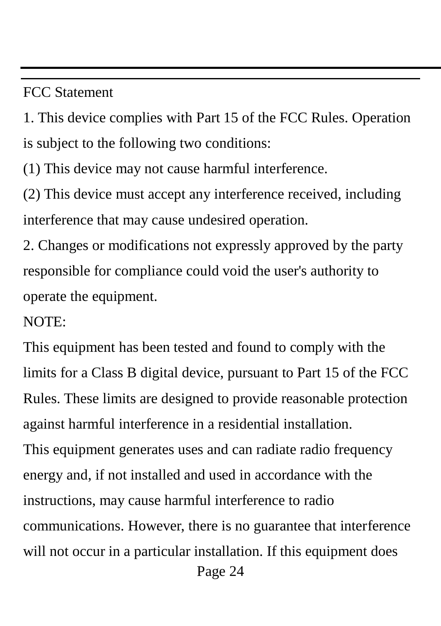#### FCC Statement

1. This device complies with Part 15 of the FCC Rules. Operation is subject to the following two conditions:

(1) This device may not cause harmful interference.

(2) This device must accept any interference received, including interference that may cause undesired operation.

2. Changes or modifications not expressly approved by the party responsible for compliance could void the user's authority to operate the equipment.

#### NOTE:

Page 24 This equipment has been tested and found to comply with the limits for a Class B digital device, pursuant to Part 15 of the FCC Rules. These limits are designed to provide reasonable protection against harmful interference in a residential installation. This equipment generates uses and can radiate radio frequency energy and, if not installed and used in accordance with the instructions, may cause harmful interference to radio communications. However, there is no guarantee that interference will not occur in a particular installation. If this equipment does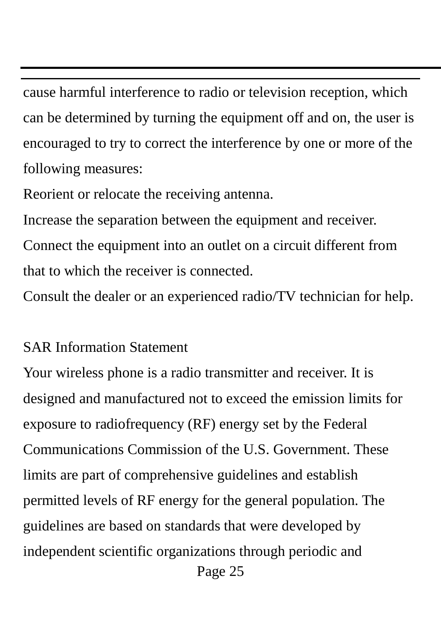cause harmful interference to radio or television reception, which can be determined by turning the equipment off and on, the user is encouraged to try to correct the interference by one or more of the following measures:

Reorient or relocate the receiving antenna.

Increase the separation between the equipment and receiver. Connect the equipment into an outlet on a circuit different from that to which the receiver is connected.

Consult the dealer or an experienced radio/TV technician for help.

#### SAR Information Statement

Page 25 Your wireless phone is a radio transmitter and receiver. It is designed and manufactured not to exceed the emission limits for exposure to radiofrequency (RF) energy set by the Federal Communications Commission of the U.S. Government. These limits are part of comprehensive guidelines and establish permitted levels of RF energy for the general population. The guidelines are based on standards that were developed by independent scientific organizations through periodic and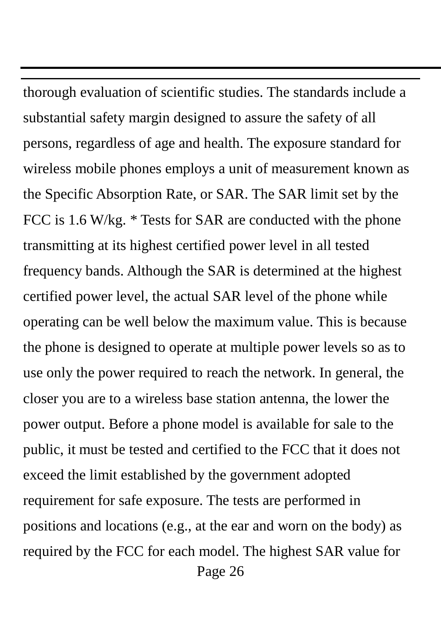Page 26 thorough evaluation of scientific studies. The standards include a substantial safety margin designed to assure the safety of all persons, regardless of age and health. The exposure standard for wireless mobile phones employs a unit of measurement known as the Specific Absorption Rate, or SAR. The SAR limit set by the FCC is 1.6 W/kg. \* Tests for SAR are conducted with the phone transmitting at its highest certified power level in all tested frequency bands. Although the SAR is determined at the highest certified power level, the actual SAR level of the phone while operating can be well below the maximum value. This is because the phone is designed to operate at multiple power levels so as to use only the power required to reach the network. In general, the closer you are to a wireless base station antenna, the lower the power output. Before a phone model is available for sale to the public, it must be tested and certified to the FCC that it does not exceed the limit established by the government adopted requirement for safe exposure. The tests are performed in positions and locations (e.g., at the ear and worn on the body) as required by the FCC for each model. The highest SAR value for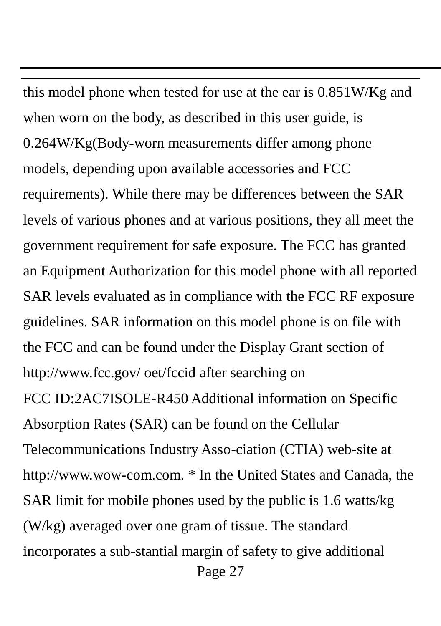Page 27 this model phone when tested for use at the ear is 0.851W/Kg and when worn on the body, as described in this user guide, is 0.264W/Kg(Body-worn measurements differ among phone models, depending upon available accessories and FCC requirements). While there may be differences between the SAR levels of various phones and at various positions, they all meet the government requirement for safe exposure. The FCC has granted an Equipment Authorization for this model phone with all reported SAR levels evaluated as in compliance with the FCC RF exposure guidelines. SAR information on this model phone is on file with the FCC and can be found under the Display Grant section of http://www.fcc.gov/ oet/fccid after searching on FCC ID:2AC7ISOLE-R450 Additional information on Specific Absorption Rates (SAR) can be found on the Cellular Telecommunications Industry Asso-ciation (CTIA) web-site at http://www.wow-com.com. \* In the United States and Canada, the SAR limit for mobile phones used by the public is 1.6 watts/kg (W/kg) averaged over one gram of tissue. The standard incorporates a sub-stantial margin of safety to give additional